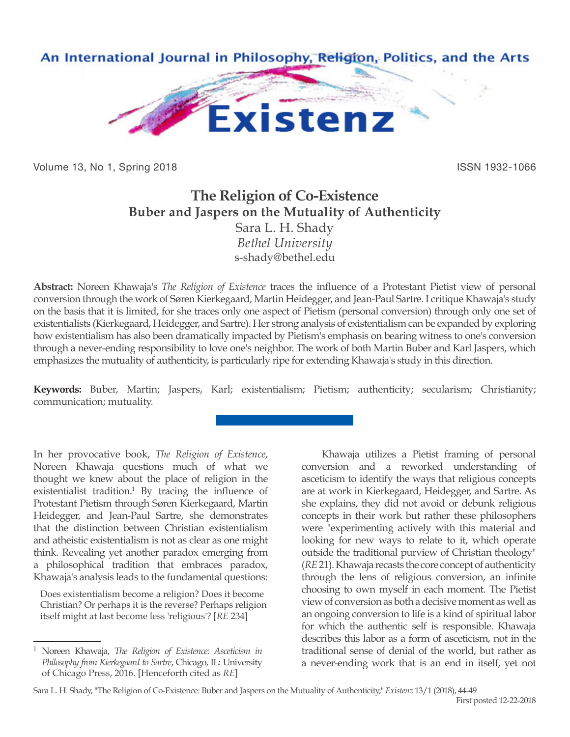

Volume 13, No 1, Spring 2018 **ISSN 1932-1066** ISSN 1932-1066

# **The Religion of Co-Existence Buber and Jaspers on the Mutuality of Authenticity** Sara L. H. Shady

*Bethel University* s-shady@bethel.edu

**Abstract:** Noreen Khawaja's *The Religion of Existence* traces the influence of a Protestant Pietist view of personal conversion through the work of Søren Kierkegaard, Martin Heidegger, and Jean-Paul Sartre. I critique Khawaja's study on the basis that it is limited, for she traces only one aspect of Pietism (personal conversion) through only one set of existentialists (Kierkegaard, Heidegger, and Sartre). Her strong analysis of existentialism can be expanded by exploring how existentialism has also been dramatically impacted by Pietism's emphasis on bearing witness to one's conversion through a never-ending responsibility to love one's neighbor. The work of both Martin Buber and Karl Jaspers, which emphasizes the mutuality of authenticity, is particularly ripe for extending Khawaja's study in this direction.

**Keywords:** Buber, Martin; Jaspers, Karl; existentialism; Pietism; authenticity; secularism; Christianity; communication; mutuality.

In her provocative book, *The Religion of Existence*, Noreen Khawaja questions much of what we thought we knew about the place of religion in the existentialist tradition.<sup>1</sup> By tracing the influence of Protestant Pietism through Søren Kierkegaard, Martin Heidegger, and Jean-Paul Sartre, she demonstrates that the distinction between Christian existentialism and atheistic existentialism is not as clear as one might think. Revealing yet another paradox emerging from a philosophical tradition that embraces paradox, Khawaja's analysis leads to the fundamental questions:

Does existentialism become a religion? Does it become Christian? Or perhaps it is the reverse? Perhaps religion itself might at last become less 'religious'? [*RE* 234]

<sup>1</sup> Noreen Khawaja, *The Religion of Existence: Asceticism in Philosophy from Kierkegaard to Sartre*, Chicago, IL: University of Chicago Press, 2016. [Henceforth cited as *RE*]

Khawaja utilizes a Pietist framing of personal conversion and a reworked understanding of asceticism to identify the ways that religious concepts are at work in Kierkegaard, Heidegger, and Sartre. As she explains, they did not avoid or debunk religious concepts in their work but rather these philosophers were "experimenting actively with this material and looking for new ways to relate to it, which operate outside the traditional purview of Christian theology" (*RE* 21). Khawaja recasts the core concept of authenticity through the lens of religious conversion, an infinite choosing to own myself in each moment. The Pietist view of conversion as both a decisive moment as well as an ongoing conversion to life is a kind of spiritual labor for which the authentic self is responsible. Khawaja describes this labor as a form of asceticism, not in the traditional sense of denial of the world, but rather as a never-ending work that is an end in itself, yet not

Sara L. H. Shady, "The Religion of Co-Existence: Buber and Jaspers on the Mutuality of Authenticity," *Existenz* 13/1 (2018), 44-49 First posted 12-22-2018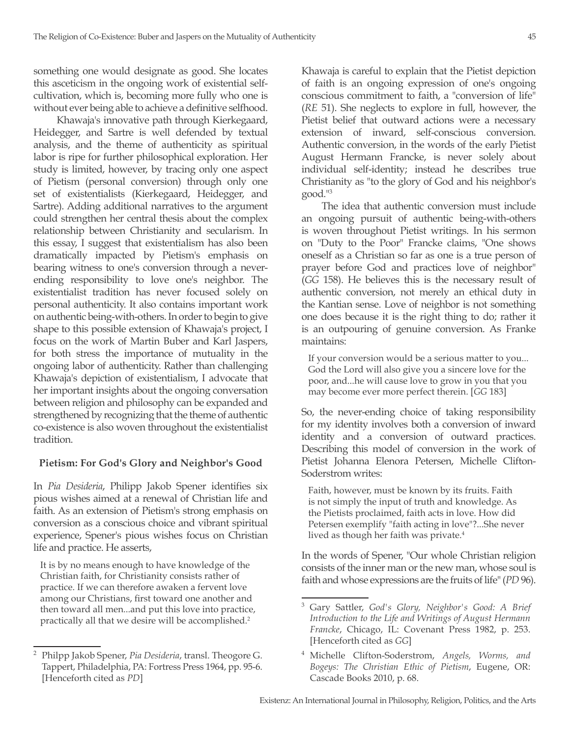something one would designate as good. She locates this asceticism in the ongoing work of existential selfcultivation, which is, becoming more fully who one is without ever being able to achieve a definitive selfhood.

 Khawaja's innovative path through Kierkegaard, Heidegger, and Sartre is well defended by textual analysis, and the theme of authenticity as spiritual labor is ripe for further philosophical exploration. Her study is limited, however, by tracing only one aspect of Pietism (personal conversion) through only one set of existentialists (Kierkegaard, Heidegger, and Sartre). Adding additional narratives to the argument could strengthen her central thesis about the complex relationship between Christianity and secularism. In this essay, I suggest that existentialism has also been dramatically impacted by Pietism's emphasis on bearing witness to one's conversion through a neverending responsibility to love one's neighbor. The existentialist tradition has never focused solely on personal authenticity. It also contains important work on authentic being-with-others. In order to begin to give shape to this possible extension of Khawaja's project, I focus on the work of Martin Buber and Karl Jaspers, for both stress the importance of mutuality in the ongoing labor of authenticity. Rather than challenging Khawaja's depiction of existentialism, I advocate that her important insights about the ongoing conversation between religion and philosophy can be expanded and strengthened by recognizing that the theme of authentic co-existence is also woven throughout the existentialist tradition.

# **Pietism: For God's Glory and Neighbor's Good**

In *Pia Desideria*, Philipp Jakob Spener identifies six pious wishes aimed at a renewal of Christian life and faith. As an extension of Pietism's strong emphasis on conversion as a conscious choice and vibrant spiritual experience, Spener's pious wishes focus on Christian life and practice. He asserts,

It is by no means enough to have knowledge of the Christian faith, for Christianity consists rather of practice. If we can therefore awaken a fervent love among our Christians, first toward one another and then toward all men...and put this love into practice, practically all that we desire will be accomplished.<sup>2</sup>

Khawaja is careful to explain that the Pietist depiction of faith is an ongoing expression of one's ongoing conscious commitment to faith, a "conversion of life" (*RE* 51). She neglects to explore in full, however, the Pietist belief that outward actions were a necessary extension of inward, self-conscious conversion. Authentic conversion, in the words of the early Pietist August Hermann Francke, is never solely about individual self-identity; instead he describes true Christianity as "to the glory of God and his neighbor's good."<sup>3</sup>

The idea that authentic conversion must include an ongoing pursuit of authentic being-with-others is woven throughout Pietist writings. In his sermon on "Duty to the Poor" Francke claims, "One shows oneself as a Christian so far as one is a true person of prayer before God and practices love of neighbor" (*GG* 158). He believes this is the necessary result of authentic conversion, not merely an ethical duty in the Kantian sense. Love of neighbor is not something one does because it is the right thing to do; rather it is an outpouring of genuine conversion. As Franke maintains:

If your conversion would be a serious matter to you... God the Lord will also give you a sincere love for the poor, and...he will cause love to grow in you that you may become ever more perfect therein. [*GG* 183]

So, the never-ending choice of taking responsibility for my identity involves both a conversion of inward identity and a conversion of outward practices. Describing this model of conversion in the work of Pietist Johanna Elenora Petersen, Michelle Clifton-Soderstrom writes:

Faith, however, must be known by its fruits. Faith is not simply the input of truth and knowledge. As the Pietists proclaimed, faith acts in love. How did Petersen exemplify "faith acting in love"?...She never lived as though her faith was private.<sup>4</sup>

In the words of Spener, "Our whole Christian religion consists of the inner man or the new man, whose soul is faith and whose expressions are the fruits of life" (*PD* 96).

<sup>2</sup> Philpp Jakob Spener, *Pia Desideria*, transl. Theogore G. Tappert, Philadelphia, PA: Fortress Press 1964, pp. 95-6. [Henceforth cited as *PD*]

<sup>3</sup> Gary Sattler, *God's Glory, Neighbor's Good: A Brief Introduction to the Life and Writings of August Hermann Francke*, Chicago, IL: Covenant Press 1982, p. 253. [Henceforth cited as *GG*]

<sup>4</sup> Michelle Clifton-Soderstrom, *Angels, Worms, and Bogeys: The Christian Ethic of Pietism*, Eugene, OR: Cascade Books 2010, p. 68.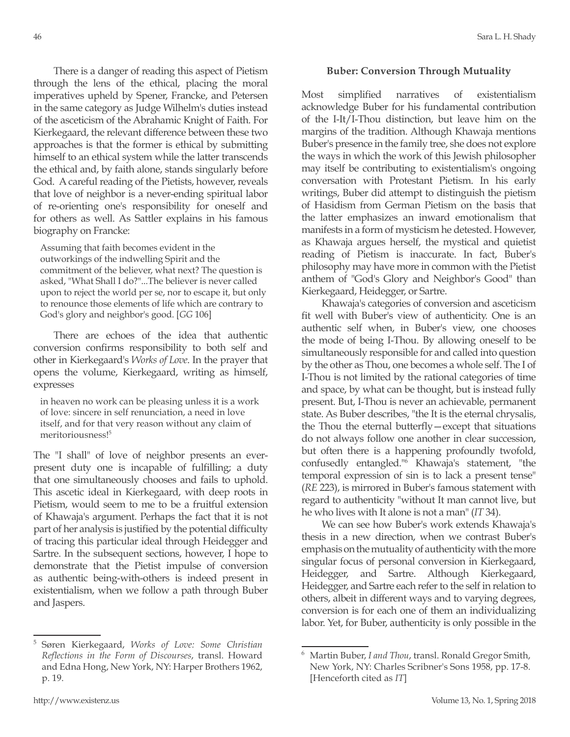There is a danger of reading this aspect of Pietism through the lens of the ethical, placing the moral imperatives upheld by Spener, Francke, and Petersen in the same category as Judge Wilhelm's duties instead of the asceticism of the Abrahamic Knight of Faith. For Kierkegaard, the relevant difference between these two approaches is that the former is ethical by submitting himself to an ethical system while the latter transcends the ethical and, by faith alone, stands singularly before God. A careful reading of the Pietists, however, reveals that love of neighbor is a never-ending spiritual labor of re-orienting one's responsibility for oneself and for others as well. As Sattler explains in his famous biography on Francke:

Assuming that faith becomes evident in the outworkings of the indwelling Spirit and the commitment of the believer, what next? The question is asked, "What Shall I do?"...The believer is never called upon to reject the world per se, nor to escape it, but only to renounce those elements of life which are contrary to God's glory and neighbor's good. [*GG* 106]

There are echoes of the idea that authentic conversion confirms responsibility to both self and other in Kierkegaard's *Works of Love*. In the prayer that opens the volume, Kierkegaard, writing as himself, expresses

in heaven no work can be pleasing unless it is a work of love: sincere in self renunciation, a need in love itself, and for that very reason without any claim of meritoriousness!<sup>5</sup>

The "I shall" of love of neighbor presents an everpresent duty one is incapable of fulfilling; a duty that one simultaneously chooses and fails to uphold. This ascetic ideal in Kierkegaard, with deep roots in Pietism, would seem to me to be a fruitful extension of Khawaja's argument. Perhaps the fact that it is not part of her analysis is justified by the potential difficulty of tracing this particular ideal through Heidegger and Sartre. In the subsequent sections, however, I hope to demonstrate that the Pietist impulse of conversion as authentic being-with-others is indeed present in existentialism, when we follow a path through Buber and Jaspers.

## **Buber: Conversion Through Mutuality**

Most simplified narratives of existentialism acknowledge Buber for his fundamental contribution of the I-It/I-Thou distinction, but leave him on the margins of the tradition. Although Khawaja mentions Buber's presence in the family tree, she does not explore the ways in which the work of this Jewish philosopher may itself be contributing to existentialism's ongoing conversation with Protestant Pietism. In his early writings, Buber did attempt to distinguish the pietism of Hasidism from German Pietism on the basis that the latter emphasizes an inward emotionalism that manifests in a form of mysticism he detested. However, as Khawaja argues herself, the mystical and quietist reading of Pietism is inaccurate. In fact, Buber's philosophy may have more in common with the Pietist anthem of "God's Glory and Neighbor's Good" than Kierkegaard, Heidegger, or Sartre.

Khawaja's categories of conversion and asceticism fit well with Buber's view of authenticity. One is an authentic self when, in Buber's view, one chooses the mode of being I-Thou. By allowing oneself to be simultaneously responsible for and called into question by the other as Thou, one becomes a whole self. The I of I-Thou is not limited by the rational categories of time and space, by what can be thought, but is instead fully present. But, I-Thou is never an achievable, permanent state. As Buber describes, "the It is the eternal chrysalis, the Thou the eternal butterfly—except that situations do not always follow one another in clear succession, but often there is a happening profoundly twofold, confusedly entangled."6 Khawaja's statement, "the temporal expression of sin is to lack a present tense" (*RE* 223), is mirrored in Buber's famous statement with regard to authenticity "without It man cannot live, but he who lives with It alone is not a man" (*IT* 34).

We can see how Buber's work extends Khawaja's thesis in a new direction, when we contrast Buber's emphasis on the mutuality of authenticity with the more singular focus of personal conversion in Kierkegaard, Heidegger, and Sartre. Although Kierkegaard, Heidegger, and Sartre each refer to the self in relation to others, albeit in different ways and to varying degrees, conversion is for each one of them an individualizing labor. Yet, for Buber, authenticity is only possible in the

<sup>5</sup> Søren Kierkegaard, *Works of Love: Some Christian Reflections in the Form of Discourses*, transl. Howard and Edna Hong, New York, NY: Harper Brothers 1962, p. 19.

<sup>6</sup> Martin Buber, *I and Thou*, transl. Ronald Gregor Smith, New York, NY: Charles Scribner's Sons 1958, pp. 17-8. [Henceforth cited as *IT*]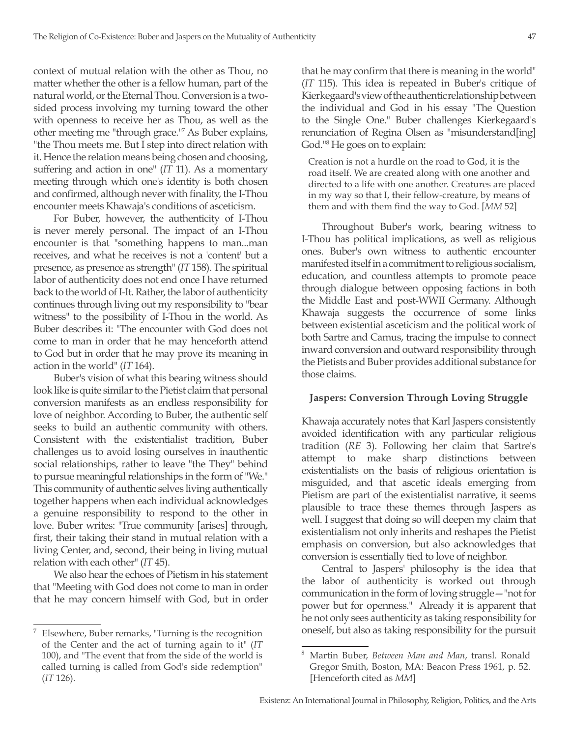context of mutual relation with the other as Thou, no matter whether the other is a fellow human, part of the natural world, or the Eternal Thou. Conversion is a twosided process involving my turning toward the other with openness to receive her as Thou, as well as the other meeting me "through grace."7 As Buber explains, "the Thou meets me. But I step into direct relation with it. Hence the relation means being chosen and choosing, suffering and action in one" (*IT* 11). As a momentary meeting through which one's identity is both chosen and confirmed, although never with finality, the I-Thou encounter meets Khawaja's conditions of asceticism.

For Buber, however, the authenticity of I-Thou is never merely personal. The impact of an I-Thou encounter is that "something happens to man...man receives, and what he receives is not a 'content' but a presence, as presence as strength" (*IT* 158). The spiritual labor of authenticity does not end once I have returned back to the world of I-It. Rather, the labor of authenticity continues through living out my responsibility to "bear witness" to the possibility of I-Thou in the world. As Buber describes it: "The encounter with God does not come to man in order that he may henceforth attend to God but in order that he may prove its meaning in action in the world" (*IT* 164).

Buber's vision of what this bearing witness should look like is quite similar to the Pietist claim that personal conversion manifests as an endless responsibility for love of neighbor. According to Buber, the authentic self seeks to build an authentic community with others. Consistent with the existentialist tradition, Buber challenges us to avoid losing ourselves in inauthentic social relationships, rather to leave "the They" behind to pursue meaningful relationships in the form of "We." This community of authentic selves living authentically together happens when each individual acknowledges a genuine responsibility to respond to the other in love. Buber writes: "True community [arises] through, first, their taking their stand in mutual relation with a living Center, and, second, their being in living mutual relation with each other" (*IT* 45).

We also hear the echoes of Pietism in his statement that "Meeting with God does not come to man in order that he may concern himself with God, but in order that he may confirm that there is meaning in the world" (*IT* 115). This idea is repeated in Buber's critique of Kierkegaard's view of the authentic relationship between the individual and God in his essay "The Question to the Single One." Buber challenges Kierkegaard's renunciation of Regina Olsen as "misunderstand[ing] God."8 He goes on to explain:

Creation is not a hurdle on the road to God, it is the road itself. We are created along with one another and directed to a life with one another. Creatures are placed in my way so that I, their fellow-creature, by means of them and with them find the way to God. [*MM* 52]

Throughout Buber's work, bearing witness to I-Thou has political implications, as well as religious ones. Buber's own witness to authentic encounter manifested itself in a commitment to religious socialism, education, and countless attempts to promote peace through dialogue between opposing factions in both the Middle East and post-WWII Germany. Although Khawaja suggests the occurrence of some links between existential asceticism and the political work of both Sartre and Camus, tracing the impulse to connect inward conversion and outward responsibility through the Pietists and Buber provides additional substance for those claims.

### **Jaspers: Conversion Through Loving Struggle**

Khawaja accurately notes that Karl Jaspers consistently avoided identification with any particular religious tradition (*RE* 3). Following her claim that Sartre's attempt to make sharp distinctions between existentialists on the basis of religious orientation is misguided, and that ascetic ideals emerging from Pietism are part of the existentialist narrative, it seems plausible to trace these themes through Jaspers as well. I suggest that doing so will deepen my claim that existentialism not only inherits and reshapes the Pietist emphasis on conversion, but also acknowledges that conversion is essentially tied to love of neighbor.

Central to Jaspers' philosophy is the idea that the labor of authenticity is worked out through communication in the form of loving struggle—"not for power but for openness." Already it is apparent that he not only sees authenticity as taking responsibility for oneself, but also as taking responsibility for the pursuit

<sup>7</sup> Elsewhere, Buber remarks, "Turning is the recognition of the Center and the act of turning again to it" (*IT* 100), and "The event that from the side of the world is called turning is called from God's side redemption" (*IT* 126).

<sup>8</sup> Martin Buber, *Between Man and Man*, transl. Ronald Gregor Smith, Boston, MA: Beacon Press 1961, p. 52. [Henceforth cited as *MM*]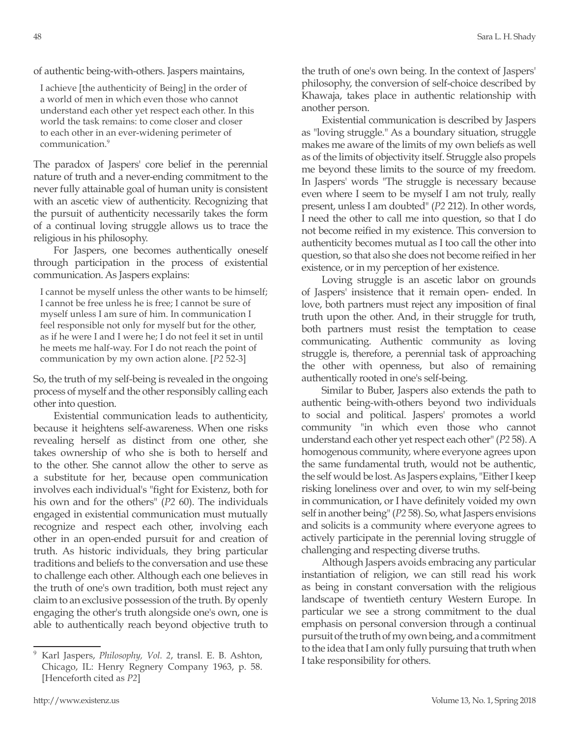of authentic being-with-others. Jaspers maintains,

I achieve [the authenticity of Being] in the order of a world of men in which even those who cannot understand each other yet respect each other. In this world the task remains: to come closer and closer to each other in an ever-widening perimeter of communication.<sup>9</sup>

The paradox of Jaspers' core belief in the perennial nature of truth and a never-ending commitment to the never fully attainable goal of human unity is consistent with an ascetic view of authenticity. Recognizing that the pursuit of authenticity necessarily takes the form of a continual loving struggle allows us to trace the religious in his philosophy.

For Jaspers, one becomes authentically oneself through participation in the process of existential communication. As Jaspers explains:

I cannot be myself unless the other wants to be himself; I cannot be free unless he is free; I cannot be sure of myself unless I am sure of him. In communication I feel responsible not only for myself but for the other, as if he were I and I were he; I do not feel it set in until he meets me half-way. For I do not reach the point of communication by my own action alone. [*P2* 52-3]

So, the truth of my self-being is revealed in the ongoing process of myself and the other responsibly calling each other into question.

Existential communication leads to authenticity, because it heightens self-awareness. When one risks revealing herself as distinct from one other, she takes ownership of who she is both to herself and to the other. She cannot allow the other to serve as a substitute for her, because open communication involves each individual's "fight for Existenz, both for his own and for the others" (*P2* 60). The individuals engaged in existential communication must mutually recognize and respect each other, involving each other in an open-ended pursuit for and creation of truth. As historic individuals, they bring particular traditions and beliefs to the conversation and use these to challenge each other. Although each one believes in the truth of one's own tradition, both must reject any claim to an exclusive possession of the truth. By openly engaging the other's truth alongside one's own, one is able to authentically reach beyond objective truth to the truth of one's own being. In the context of Jaspers' philosophy, the conversion of self-choice described by Khawaja, takes place in authentic relationship with another person.

Existential communication is described by Jaspers as "loving struggle." As a boundary situation, struggle makes me aware of the limits of my own beliefs as well as of the limits of objectivity itself. Struggle also propels me beyond these limits to the source of my freedom. In Jaspers' words "The struggle is necessary because even where I seem to be myself I am not truly, really present, unless I am doubted" (*P2* 212). In other words, I need the other to call me into question, so that I do not become reified in my existence. This conversion to authenticity becomes mutual as I too call the other into question, so that also she does not become reified in her existence, or in my perception of her existence.

Loving struggle is an ascetic labor on grounds of Jaspers' insistence that it remain open- ended. In love, both partners must reject any imposition of final truth upon the other. And, in their struggle for truth, both partners must resist the temptation to cease communicating. Authentic community as loving struggle is, therefore, a perennial task of approaching the other with openness, but also of remaining authentically rooted in one's self-being.

Similar to Buber, Jaspers also extends the path to authentic being-with-others beyond two individuals to social and political. Jaspers' promotes a world community "in which even those who cannot understand each other yet respect each other" (*P2* 58). A homogenous community, where everyone agrees upon the same fundamental truth, would not be authentic, the self would be lost. As Jaspers explains, "Either I keep risking loneliness over and over, to win my self-being in communication, or I have definitely voided my own self in another being" (*P2* 58). So, what Jaspers envisions and solicits is a community where everyone agrees to actively participate in the perennial loving struggle of challenging and respecting diverse truths.

Although Jaspers avoids embracing any particular instantiation of religion, we can still read his work as being in constant conversation with the religious landscape of twentieth century Western Europe. In particular we see a strong commitment to the dual emphasis on personal conversion through a continual pursuit of the truth of my own being, and a commitment to the idea that I am only fully pursuing that truth when I take responsibility for others.

<sup>9</sup> Karl Jaspers, *Philosophy, Vol. 2*, transl. E. B. Ashton, Chicago, IL: Henry Regnery Company 1963, p. 58. [Henceforth cited as *P2*]